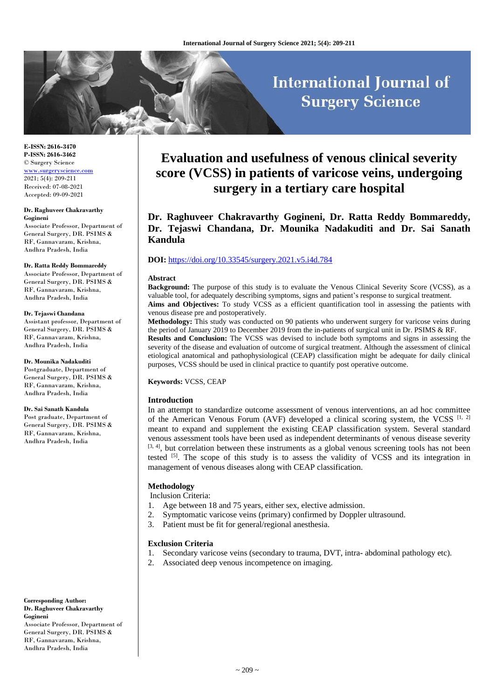# **International Journal of Surgery Science**

**E-ISSN: 2616-3470 P-ISSN: 2616-3462** © Surgery Science [www.surgeryscience.com](http://www.surgeryscience.com/) 2021; 5(4): 209-211 Received: 07-08-2021 Accepted: 09-09-2021

#### **Dr. Raghuveer Chakravarthy Gogineni**

Associate Professor, Department of General Surgery, DR. PSIMS & RF, Gannavaram, Krishna, Andhra Pradesh, India

#### **Dr. Ratta Reddy Bommareddy**

Associate Professor, Department of General Surgery, DR. PSIMS & RF, Gannavaram, Krishna, Andhra Pradesh, India

#### **Dr. Tejaswi Chandana**

Assistant professor, Department of General Surgery, DR. PSIMS & RF, Gannavaram, Krishna, Andhra Pradesh, India

#### **Dr. Mounika Nadakuditi**

Postgraduate, Department of General Surgery, DR. PSIMS & RF, Gannavaram, Krishna, Andhra Pradesh, India

#### **Dr. Sai Sanath Kandula**

Post graduate, Department of General Surgery, DR. PSIMS & RF, Gannavaram, Krishna, Andhra Pradesh, India

**Corresponding Author: Dr. Raghuveer Chakravarthy Gogineni**

Associate Professor, Department of General Surgery, DR. PSIMS & RF, Gannavaram, Krishna, Andhra Pradesh, India

## **Evaluation and usefulness of venous clinical severity score (VCSS) in patients of varicose veins, undergoing surgery in a tertiary care hospital**

**Dr. Raghuveer Chakravarthy Gogineni, Dr. Ratta Reddy Bommareddy, Dr. Tejaswi Chandana, Dr. Mounika Nadakuditi and Dr. Sai Sanath Kandula**

## **DOI:** <https://doi.org/10.33545/surgery.2021.v5.i4d.784>

#### **Abstract**

**Background:** The purpose of this study is to evaluate the Venous Clinical Severity Score (VCSS), as a valuable tool, for adequately describing symptoms, signs and patient's response to surgical treatment. **Aims and Objectives:** To study VCSS as a efficient quantification tool in assessing the patients with

venous disease pre and postoperatively. **Methodology:** This study was conducted on 90 patients who underwent surgery for varicose veins during the period of January 2019 to December 2019 from the in-patients of surgical unit in Dr. PSIMS & RF.

**Results and Conclusion:** The VCSS was devised to include both symptoms and signs in assessing the severity of the disease and evaluation of outcome of surgical treatment. Although the assessment of clinical etiological anatomical and pathophysiological (CEAP) classification might be adequate for daily clinical purposes, VCSS should be used in clinical practice to quantify post operative outcome.

**Keywords:** VCSS, CEAP

## **Introduction**

In an attempt to standardize outcome assessment of venous interventions, an ad hoc committee of the American Venous Forum (AVF) developed a clinical scoring system, the VCSS  $[1, 2]$ meant to expand and supplement the existing CEAP classification system. Several standard venous assessment tools have been used as independent determinants of venous disease severity  $[3, 4]$ , but correlation between these instruments as a global venous screening tools has not been tested [5]. The scope of this study is to assess the validity of VCSS and its integration in management of venous diseases along with CEAP classification.

## **Methodology**

Inclusion Criteria:

- 1. Age between 18 and 75 years, either sex, elective admission.
- 2. Symptomatic varicose veins (primary) confirmed by Doppler ultrasound.
- 3. Patient must be fit for general/regional anesthesia.

## **Exclusion Criteria**

- 1. Secondary varicose veins (secondary to trauma, DVT, intra- abdominal pathology etc).
- 2. Associated deep venous incompetence on imaging.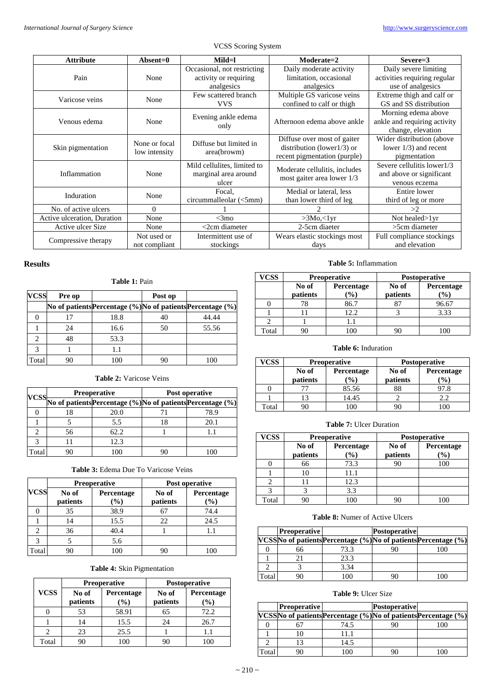| <b>Attribute</b>            | $\bf Absent=0$ | Mild=l                      | Moderate=2                     | $Severe=3$                   |
|-----------------------------|----------------|-----------------------------|--------------------------------|------------------------------|
|                             |                | Occasional, not restricting | Daily moderate activity        | Daily severe limiting        |
| Pain                        | None           | activity or requiring       | limitation, occasional         | activities requiring regular |
|                             |                | analgesics                  | analgesics                     | use of analgesics            |
| Varicose veins              | None           | Few scattered branch        | Multiple GS varicose veins     | Extreme thigh and calf or    |
|                             |                | <b>VVS</b>                  | confined to calf or thigh      | GS and SS distribution       |
|                             |                | Evening ankle edema         |                                | Morning edema above          |
| Venous edema                | None           | only                        | Afternoon edema above ankle    | ankle and requiring activity |
|                             |                |                             |                                | change, elevation            |
|                             | None or focal  | Diffuse but limited in      | Diffuse over most of gaiter    | Wider distribution (above    |
| Skin pigmentation           | low intensity  | area(browm)                 | distribution (lower $1/3$ ) or | lower $1/3$ ) and recent     |
|                             |                |                             | recent pigmentation (purple)   | pigmentation                 |
|                             |                | Mild cellulites, limited to | Moderate cellulitis, includes  | Severe cellulitis lower1/3   |
| Inflammation                | None           | marginal area around        | most gaiter area lower 1/3     | and above or significant     |
|                             |                | ulcer                       |                                | venous eczema                |
| Induration                  | None           | Focal,                      | Medial or lateral, less        | Entire lower                 |
|                             |                | circummalleolar (<5mm)      | than lower third of leg        | third of leg or more         |
| No. of active ulcers        | $\Omega$       |                             |                                | >2                           |
| Active ulceration, Duration | None           | $<$ 3mo                     | >3Mo,<1yr                      | Not healed > 1yr             |
| Active ulcer Size           | None           | $<$ 2cm diameter            | 2-5cm diaeter                  | >5cm diameter                |
| Compressive therapy         | Not used or    | Intermittent use of         | Wears elastic stockings most   | Full compliance stockings    |
|                             | not compliant  | stockings                   | days                           | and elevation                |

VCSS Scoring System

## **Results**

|             | Table 1: Pain |                                                                     |         |       |  |  |  |
|-------------|---------------|---------------------------------------------------------------------|---------|-------|--|--|--|
| <b>VCSS</b> | Pre op        |                                                                     | Post op |       |  |  |  |
|             |               | No of patients Percentage $(\% )$ No of patients Percentage $(\% )$ |         |       |  |  |  |
|             | 17            | 18.8                                                                | 40      | 44.44 |  |  |  |
|             | 24            | 16.6                                                                | 50      | 55.56 |  |  |  |
| 2           | 48            | 53.3                                                                |         |       |  |  |  |
| 3           |               | 1.1                                                                 |         |       |  |  |  |
| Total       |               | 100                                                                 |         |       |  |  |  |

## **Table 2:** Varicose Veins

|       | <b>Preoperative</b> |      | Post operative |                                                                  |
|-------|---------------------|------|----------------|------------------------------------------------------------------|
|       |                     |      |                | VCSS No of patients Percentage (%) No of patients Percentage (%) |
|       |                     | 20.0 |                | 78.9                                                             |
|       |                     | 5.5  |                | 20.1                                                             |
|       | 56                  | 62.2 |                |                                                                  |
|       |                     | 12.3 |                |                                                                  |
| Total |                     | ۱OC  |                |                                                                  |

| <b>Table 3: Edema Due To Varicose Veins</b> |  |
|---------------------------------------------|--|
|---------------------------------------------|--|

|                               | <b>Preoperative</b> |                      | Post operative    |                   |
|-------------------------------|---------------------|----------------------|-------------------|-------------------|
| <b>VCSS</b>                   | No of<br>patients   | Percentage<br>$(\%)$ | No of<br>patients | Percentage<br>(%) |
|                               | 35                  | 38.9                 | 67                | 74.4              |
|                               |                     | 15.5                 | 22                | 24.5              |
| $\mathfrak{D}_{\mathfrak{p}}$ | 36                  | 40.4                 |                   |                   |
| 3                             |                     | 5.6                  |                   |                   |
| Total                         |                     | 100                  | 90                | 100               |

## **Table 4:** Skin Pigmentation

|             | <b>Preoperative</b> |                            | Postoperative |                              |
|-------------|---------------------|----------------------------|---------------|------------------------------|
| <b>VCSS</b> | No of               | Percentage                 | No of         | Percentage                   |
|             | patients            | $\left(\frac{0}{0}\right)$ | patients      | $\left( \frac{0}{0} \right)$ |
|             | 53                  | 58.91                      | 65            | 72.2                         |
|             | 14                  | 15.5                       | 24            | 26.7                         |
|             | 23                  | 25.5                       |               | 1.1                          |
| Total       | )(                  | 00                         |               | 100                          |

#### **Table 5:** Inflammation

| <b>VCSS</b> | <b>Preoperative</b> |                                      | <b>Postoperative</b> |                               |
|-------------|---------------------|--------------------------------------|----------------------|-------------------------------|
|             | No of<br>patients   | <b>Percentage</b><br>$\mathcal{O}_0$ | No of<br>patients    | Percentage<br>$\mathcal{O}_0$ |
|             |                     | 86.7                                 |                      | 96.67                         |
|             |                     | 12.2                                 |                      | 3.33                          |
|             |                     |                                      |                      |                               |
| Fotal       |                     |                                      |                      |                               |

## **Table 6:** Induration

| <sup>7</sup> CSS | <b>Preoperative</b> |                 | <b>Postoperative</b> |                  |
|------------------|---------------------|-----------------|----------------------|------------------|
|                  | No of               | Percentage      | No of                | Percentage       |
|                  | patients            | $\mathcal{O}_0$ | patients             | $\mathcal{O}(0)$ |
|                  |                     | 85.56           |                      | 97.8             |
|                  |                     | 14.45           |                      |                  |
| Γotal            |                     |                 |                      |                  |

## **Table 7:** Ulcer Duration

| <b>VCSS</b> | <b>Preoperative</b> |                               | <b>Postoperative</b> |                      |
|-------------|---------------------|-------------------------------|----------------------|----------------------|
|             | No of<br>patients   | Percentage<br>$\mathcal{O}_0$ | No of<br>patients    | Percentage<br>$(\%)$ |
|             | 66                  | 73.3                          |                      | 100                  |
|             |                     | 11.1                          |                      |                      |
|             |                     | 12.3                          |                      |                      |
|             |                     | 3.3                           |                      |                      |
| Total       |                     | 100                           |                      |                      |

## **Table 8:** Numer of Active Ulcers

|       | <b>Preoperative</b> |      | <b>Postoperative</b> |                                                                 |
|-------|---------------------|------|----------------------|-----------------------------------------------------------------|
|       |                     |      |                      | VCSSNo of patients Percentage (%) No of patients Percentage (%) |
|       |                     | 73.3 |                      | 100                                                             |
|       |                     | 23.3 |                      |                                                                 |
|       |                     | 3.34 |                      |                                                                 |
| Total |                     | 00   |                      |                                                                 |

## **Table 9:** Ulcer Size

|      | <b>Preoperative</b> |      | <b>Postoperative</b> |                                                                 |
|------|---------------------|------|----------------------|-----------------------------------------------------------------|
|      |                     |      |                      | VCSSNo of patients Percentage (%) No of patients Percentage (%) |
|      |                     | 74.5 |                      | 100                                                             |
|      |                     | 11.1 |                      |                                                                 |
|      |                     | 14.5 |                      |                                                                 |
| otal |                     | 100  |                      | $\alpha$                                                        |